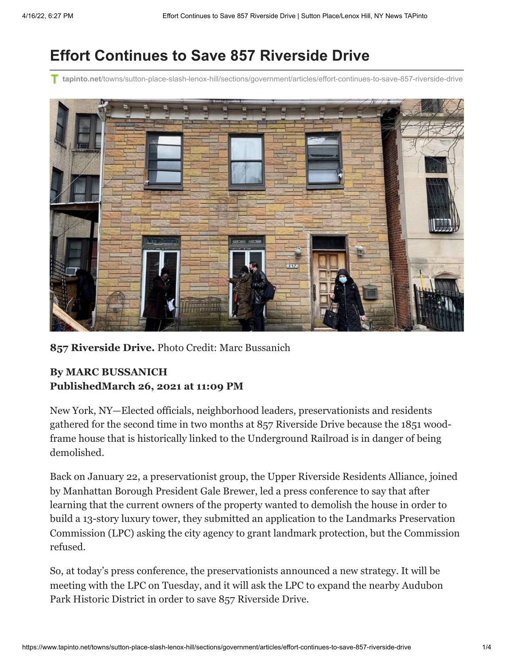## **Effort Continues to Save 857 Riverside Drive**

**tapinto.net**[/towns/sutton-place-slash-lenox-hill/sections/government/articles/effort-continues-to-save-857-riverside-drive](https://www.tapinto.net/towns/sutton-place-slash-lenox-hill/sections/government/articles/effort-continues-to-save-857-riverside-drive)



**857 Riverside Drive.** Photo Credit: Marc Bussanich

## **By MARC BUSSANICH PublishedMarch 26, 2021 at 11:09 PM**

New York, NY—Elected officials, neighborhood leaders, preservationists and residents gathered for the second time in two months at 857 Riverside Drive because the 1851 woodframe house that is historically linked to the Underground Railroad is in danger of being demolished.

Back on January 22, a preservationist group, the Upper Riverside Residents Alliance, joined by Manhattan Borough President Gale Brewer, led a press conference to say that after learning that the current owners of the property wanted to demolish the house in order to build a 13-story luxury tower, they submitted an application to the Landmarks Preservation Commission (LPC) asking the city agency to grant landmark protection, but the Commission refused.

So, at today's press conference, the preservationists announced a new strategy. It will be meeting with the LPC on Tuesday, and it will ask the LPC to expand the nearby Audubon Park Historic District in order to save 857 Riverside Drive.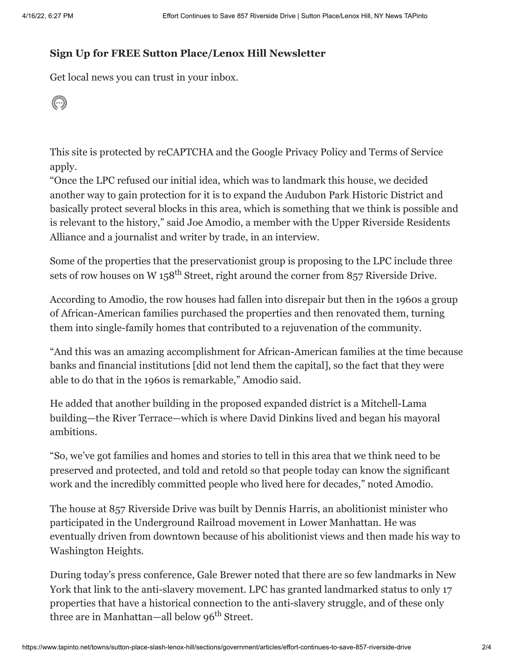## **Sign Up for FREE Sutton Place/Lenox Hill Newsletter**

Get local news you can trust in your inbox.

 $\odot$ 

This site is protected by reCAPTCHA and the Google [Privacy Policy](https://policies.google.com/privacy) and [Terms of Service](https://policies.google.com/terms) apply.

"Once the LPC refused our initial idea, which was to landmark this house, we decided another way to gain protection for it is to expand the Audubon Park Historic District and basically protect several blocks in this area, which is something that we think is possible and is relevant to the history," said Joe Amodio, a member with the Upper Riverside Residents Alliance and a journalist and writer by trade, in an interview.

Some of the properties that the preservationist group is proposing to the LPC include three sets of row houses on W 158<sup>th</sup> Street, right around the corner from 857 Riverside Drive.

According to Amodio, the row houses had fallen into disrepair but then in the 1960s a group of African-American families purchased the properties and then renovated them, turning them into single-family homes that contributed to a rejuvenation of the community.

"And this was an amazing accomplishment for African-American families at the time because banks and financial institutions [did not lend them the capital], so the fact that they were able to do that in the 1960s is remarkable," Amodio said.

He added that another building in the proposed expanded district is a Mitchell-Lama building—the River Terrace—which is where David Dinkins lived and began his mayoral ambitions.

"So, we've got families and homes and stories to tell in this area that we think need to be preserved and protected, and told and retold so that people today can know the significant work and the incredibly committed people who lived here for decades," noted Amodio.

The house at 857 Riverside Drive was built by Dennis Harris, an abolitionist minister who participated in the Underground Railroad movement in Lower Manhattan. He was eventually driven from downtown because of his abolitionist views and then made his way to Washington Heights.

During today's press conference, Gale Brewer noted that there are so few landmarks in New York that link to the anti-slavery movement. LPC has granted landmarked status to only 17 properties that have a historical connection to the anti-slavery struggle, and of these only three are in Manhattan—all below 96<sup>th</sup> Street.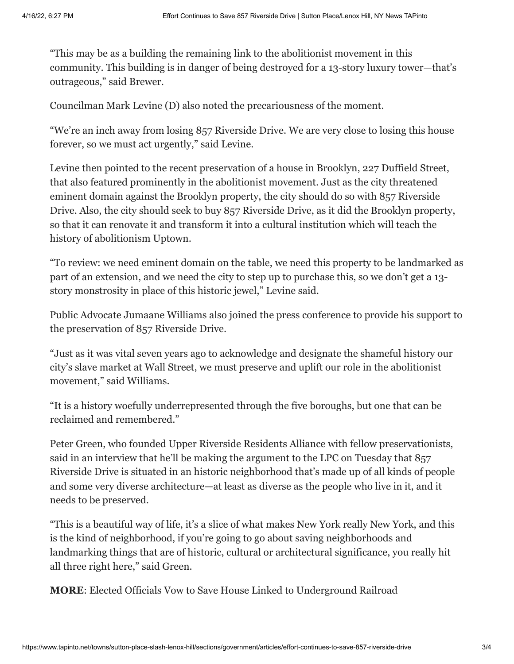"This may be as a building the remaining link to the abolitionist movement in this community. This building is in danger of being destroyed for a 13-story luxury tower—that's outrageous," said Brewer.

Councilman Mark Levine (D) also noted the precariousness of the moment.

"We're an inch away from losing 857 Riverside Drive. We are very close to losing this house forever, so we must act urgently," said Levine.

Levine then pointed to the recent preservation of a house in Brooklyn, 227 Duffield Street, that also featured prominently in the abolitionist movement. Just as the city threatened eminent domain against the Brooklyn property, the city should do so with 857 Riverside Drive. Also, the city should seek to buy 857 Riverside Drive, as it did the Brooklyn property, so that it can renovate it and transform it into a cultural institution which will teach the history of abolitionism Uptown.

"To review: we need eminent domain on the table, we need this property to be landmarked as part of an extension, and we need the city to step up to purchase this, so we don't get a 13 story monstrosity in place of this historic jewel," Levine said.

Public Advocate Jumaane Williams also joined the press conference to provide his support to the preservation of 857 Riverside Drive.

"Just as it was vital seven years ago to acknowledge and designate the shameful history our city's slave market at Wall Street, we must preserve and uplift our role in the abolitionist movement," said Williams.

"It is a history woefully underrepresented through the five boroughs, but one that can be reclaimed and remembered."

Peter Green, who founded Upper Riverside Residents Alliance with fellow preservationists, said in an interview that he'll be making the argument to the LPC on Tuesday that 857 Riverside Drive is situated in an historic neighborhood that's made up of all kinds of people and some very diverse architecture—at least as diverse as the people who live in it, and it needs to be preserved.

"This is a beautiful way of life, it's a slice of what makes New York really New York, and this is the kind of neighborhood, if you're going to go about saving neighborhoods and landmarking things that are of historic, cultural or architectural significance, you really hit all three right here," said Green.

**MORE**: [Elected Officials Vow to Save House Linked to Underground Railroad](https://www.tapinto.net/towns/sutton-place-slash-lenox-hill/sections/government/articles/elected-officials-vow-to-save-house-linked-to-underground-railroad)